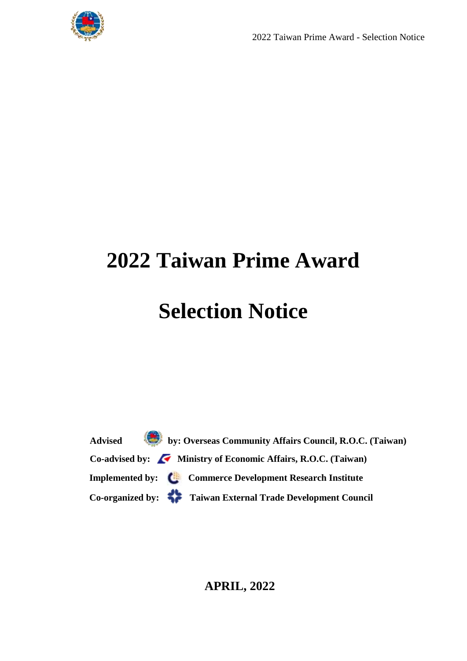

# **2022 Taiwan Prime Award**

## **Selection Notice**

 **Advised by: Overseas Community Affairs Council, R.O.C. (Taiwan)** Co-advised by: Ministry of Economic Affairs, R.O.C. (Taiwan) **Implemented by: Commerce Development Research Institute Co-organized by: Taiwan External Trade Development Council**

#### **APRIL, 2022**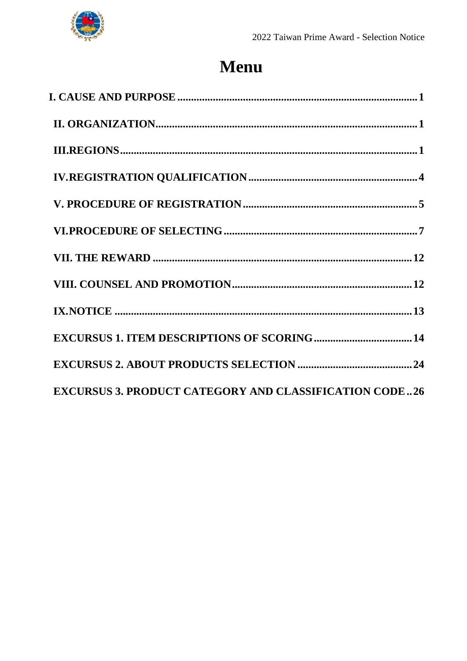

### Menu

| <b>EXCURSUS 3. PRODUCT CATEGORY AND CLASSIFICATION CODE26</b> |
|---------------------------------------------------------------|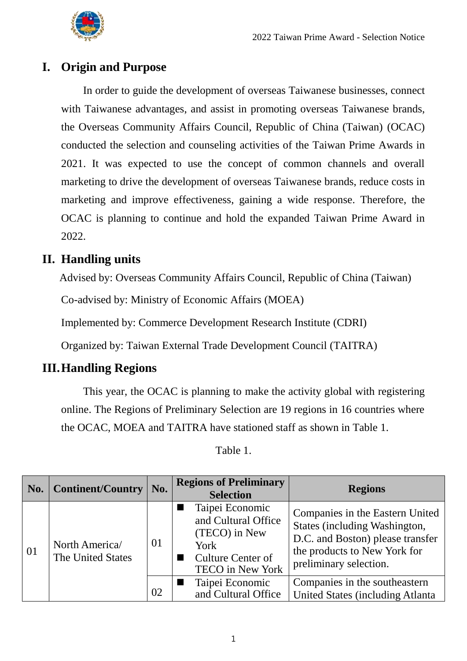

#### <span id="page-2-0"></span>**I. Origin and Purpose**

In order to guide the development of overseas Taiwanese businesses, connect with Taiwanese advantages, and assist in promoting overseas Taiwanese brands, the Overseas Community Affairs Council, Republic of China (Taiwan) (OCAC) conducted the selection and counseling activities of the Taiwan Prime Awards in 2021. It was expected to use the concept of common channels and overall marketing to drive the development of overseas Taiwanese brands, reduce costs in marketing and improve effectiveness, gaining a wide response. Therefore, the OCAC is planning to continue and hold the expanded Taiwan Prime Award in 2022.

#### <span id="page-2-1"></span>**II. Handling units**

Advised by: Overseas Community Affairs Council, Republic of China (Taiwan)

Co-advised by: Ministry of Economic Affairs (MOEA)

Implemented by: Commerce Development Research Institute (CDRI)

Organized by: Taiwan External Trade Development Council (TAITRA)

#### <span id="page-2-2"></span>**III.Handling Regions**

This year, the OCAC is planning to make the activity global with registering online. The Regions of Preliminary Selection are 19 regions in 16 countries where the OCAC, MOEA and TAITRA have stationed staff as shown in Table 1.

| No. | <b>Continent/Country</b>            | No. | <b>Regions of Preliminary</b><br><b>Selection</b>                                                                      | <b>Regions</b>                                                                                                                                                 |
|-----|-------------------------------------|-----|------------------------------------------------------------------------------------------------------------------------|----------------------------------------------------------------------------------------------------------------------------------------------------------------|
| 01  | North America/<br>The United States | 01  | Taipei Economic<br>and Cultural Office<br>(TECO) in New<br>York<br><b>Culture Center of</b><br><b>TECO</b> in New York | Companies in the Eastern United<br>States (including Washington,<br>D.C. and Boston) please transfer<br>the products to New York for<br>preliminary selection. |
|     |                                     | 02  | Taipei Economic<br>and Cultural Office                                                                                 | Companies in the southeastern<br>United States (including Atlanta)                                                                                             |

Table 1.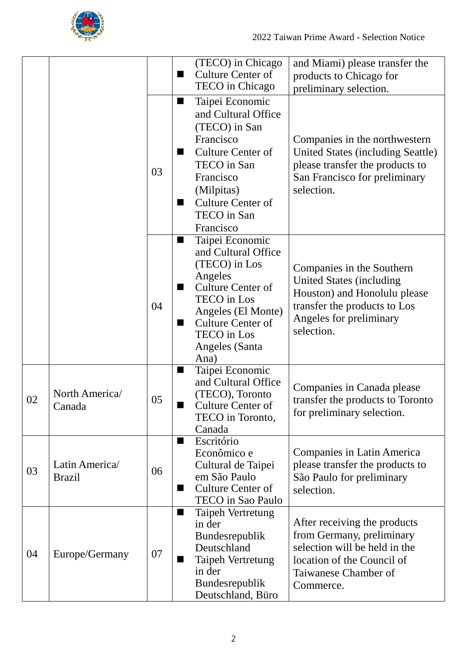

|    |                                 |    |                     | (TECO) in Chicago<br><b>Culture Center of</b><br>TECO in Chicago                                                                                                                                                       | and Miami) please transfer the<br>products to Chicago for<br>preliminary selection.                                                                                   |
|----|---------------------------------|----|---------------------|------------------------------------------------------------------------------------------------------------------------------------------------------------------------------------------------------------------------|-----------------------------------------------------------------------------------------------------------------------------------------------------------------------|
|    |                                 | 03 | ш<br>■<br>ш         | Taipei Economic<br>and Cultural Office<br>(TECO) in San<br>Francisco<br><b>Culture Center of</b><br>TECO in San<br>Francisco<br>(Milpitas)<br><b>Culture Center of</b><br>TECO in San<br>Francisco                     | Companies in the northwestern<br>United States (including Seattle)<br>please transfer the products to<br>San Francisco for preliminary<br>selection.                  |
|    |                                 | 04 | ш<br>■<br>■         | Taipei Economic<br>and Cultural Office<br>(TECO) in Los<br>Angeles<br><b>Culture Center of</b><br><b>TECO</b> in Los<br>Angeles (El Monte)<br><b>Culture Center of</b><br><b>TECO</b> in Los<br>Angeles (Santa<br>Ana) | Companies in the Southern<br><b>United States (including</b><br>Houston) and Honolulu please<br>transfer the products to Los<br>Angeles for preliminary<br>selection. |
| 02 | North America/<br>Canada        | 05 | ■                   | Taipei Economic<br>and Cultural Office<br>(TECO), Toronto<br><b>Culture Center of</b><br>TECO in Toronto,<br>Canada                                                                                                    | Companies in Canada please<br>transfer the products to Toronto<br>for preliminary selection.                                                                          |
| 03 | Latin America/<br><b>Brazil</b> | 06 | ш<br>$\blacksquare$ | Escritório<br>Econômico e<br>Cultural de Taipei<br>em São Paulo<br>Culture Center of<br>TECO in Sao Paulo                                                                                                              | Companies in Latin America<br>please transfer the products to<br>São Paulo for preliminary<br>selection.                                                              |
| 04 | Europe/Germany                  | 07 | ш<br>■              | Taipeh Vertretung<br>in der<br>Bundesrepublik<br>Deutschland<br>Taipeh Vertretung<br>in der<br>Bundesrepublik<br>Deutschland, Büro                                                                                     | After receiving the products<br>from Germany, preliminary<br>selection will be held in the<br>location of the Council of<br>Taiwanese Chamber of<br>Commerce.         |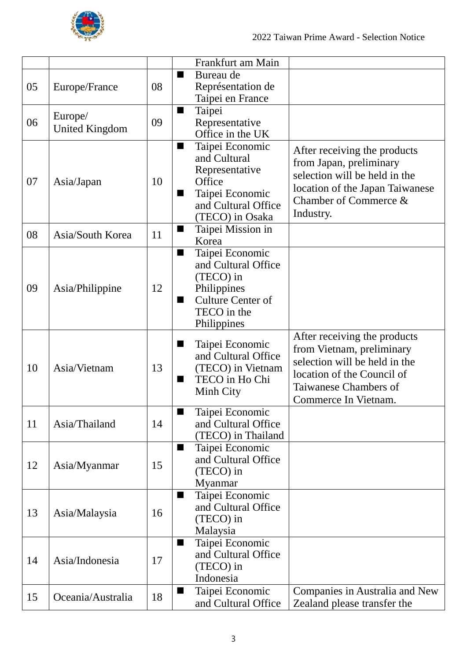

|    |                       |    |                | Frankfurt am Main                      |                                 |
|----|-----------------------|----|----------------|----------------------------------------|---------------------------------|
|    |                       |    | ш              | Bureau de                              |                                 |
| 05 | Europe/France         | 08 |                | Représentation de                      |                                 |
|    |                       |    |                | Taipei en France                       |                                 |
|    |                       |    | ш              | Taipei                                 |                                 |
| 06 | Europe/               | 09 |                | Representative                         |                                 |
|    | <b>United Kingdom</b> |    |                | Office in the UK                       |                                 |
|    |                       |    | $\blacksquare$ | Taipei Economic                        | After receiving the products    |
|    |                       |    |                | and Cultural                           | from Japan, preliminary         |
|    |                       |    |                | Representative                         | selection will be held in the   |
| 07 | Asia/Japan            | 10 |                | Office                                 | location of the Japan Taiwanese |
|    |                       |    | ш              | Taipei Economic                        | Chamber of Commerce &           |
|    |                       |    |                | and Cultural Office                    | Industry.                       |
|    |                       |    |                | (TECO) in Osaka                        |                                 |
| 08 | Asia/South Korea      | 11 | ш              | Taipei Mission in                      |                                 |
|    |                       |    |                | Korea                                  |                                 |
|    |                       |    | ■              | Taipei Economic<br>and Cultural Office |                                 |
|    |                       |    |                |                                        |                                 |
| 09 |                       | 12 |                | (TECO) in<br>Philippines               |                                 |
|    | Asia/Philippine       |    | ш              | <b>Culture Center of</b>               |                                 |
|    |                       |    |                | TECO in the                            |                                 |
|    |                       |    |                | Philippines                            |                                 |
|    |                       |    |                |                                        | After receiving the products    |
|    |                       |    | ш              | Taipei Economic                        | from Vietnam, preliminary       |
|    |                       |    |                | and Cultural Office                    | selection will be held in the   |
| 10 | Asia/Vietnam          | 13 |                | (TECO) in Vietnam                      | location of the Council of      |
|    |                       |    | ш              | TECO in Ho Chi                         | Taiwanese Chambers of           |
|    |                       |    |                | Minh City                              | Commerce In Vietnam.            |
|    |                       |    | $\blacksquare$ | Taipei Economic                        |                                 |
| 11 | Asia/Thailand         | 14 |                | and Cultural Office                    |                                 |
|    |                       |    |                | (TECO) in Thailand                     |                                 |
|    |                       |    | ш              | Taipei Economic                        |                                 |
|    |                       |    |                | and Cultural Office                    |                                 |
| 12 | Asia/Myanmar          | 15 |                | (TECO) in                              |                                 |
|    |                       |    |                | Myanmar                                |                                 |
|    |                       |    | $\blacksquare$ | Taipei Economic                        |                                 |
| 13 |                       | 16 |                | and Cultural Office                    |                                 |
|    | Asia/Malaysia         |    |                | (TECO) in                              |                                 |
|    |                       |    |                | Malaysia                               |                                 |
| 14 | Asia/Indonesia        |    | $\blacksquare$ | Taipei Economic                        |                                 |
|    |                       | 17 |                | and Cultural Office                    |                                 |
|    |                       |    |                | (TECO) in                              |                                 |
|    |                       |    |                | Indonesia                              |                                 |
| 15 | Oceania/Australia     | 18 | ш              | Taipei Economic                        | Companies in Australia and New  |
|    |                       |    |                | and Cultural Office                    | Zealand please transfer the     |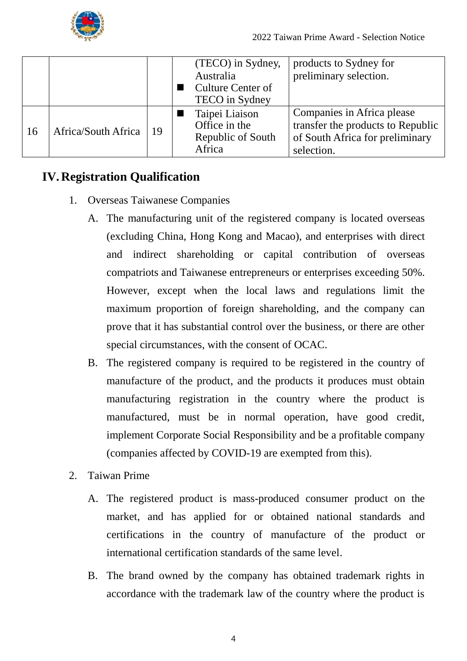

|    |                     |    | (TECO) in Sydney,        | products to Sydney for            |
|----|---------------------|----|--------------------------|-----------------------------------|
|    |                     |    | Australia                | preliminary selection.            |
|    |                     |    | <b>Culture Center of</b> |                                   |
|    |                     |    | <b>TECO</b> in Sydney    |                                   |
| 16 | Africa/South Africa | 19 | Taipei Liaison           | Companies in Africa please        |
|    |                     |    | Office in the            | transfer the products to Republic |
|    |                     |    | Republic of South        | of South Africa for preliminary   |
|    |                     |    | Africa                   | selection.                        |

#### <span id="page-5-0"></span>**IV. Registration Qualification**

- 1. Overseas Taiwanese Companies
	- A. The manufacturing unit of the registered company is located overseas (excluding China, Hong Kong and Macao), and enterprises with direct and indirect shareholding or capital contribution of overseas compatriots and Taiwanese entrepreneurs or enterprises exceeding 50%. However, except when the local laws and regulations limit the maximum proportion of foreign shareholding, and the company can prove that it has substantial control over the business, or there are other special circumstances, with the consent of OCAC.
	- B. The registered company is required to be registered in the country of manufacture of the product, and the products it produces must obtain manufacturing registration in the country where the product is manufactured, must be in normal operation, have good credit, implement Corporate Social Responsibility and be a profitable company (companies affected by COVID-19 are exempted from this).
- 2. Taiwan Prime
	- A. The registered product is mass-produced consumer product on the market, and has applied for or obtained national standards and certifications in the country of manufacture of the product or international certification standards of the same level.
	- B. The brand owned by the company has obtained trademark rights in accordance with the trademark law of the country where the product is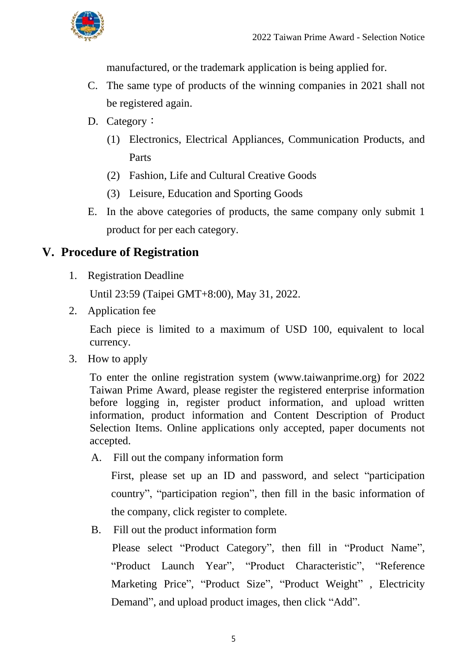

manufactured, or the trademark application is being applied for.

- C. The same type of products of the winning companies in 2021 shall not be registered again.
- D. Category:
	- (1) Electronics, Electrical Appliances, Communication Products, and Parts
	- (2) Fashion, Life and Cultural Creative Goods
	- (3) Leisure, Education and Sporting Goods
- E. In the above categories of products, the same company only submit 1 product for per each category.

#### <span id="page-6-0"></span>**V. Procedure of Registration**

1. Registration Deadline

Until 23:59 (Taipei GMT+8:00), May 31, 2022.

2. Application fee

Each piece is limited to a maximum of USD 100, equivalent to local currency.

3. How to apply

To enter the online registration system (www.taiwanprime.org) for 2022 Taiwan Prime Award, please register the registered enterprise information before logging in, register product information, and upload written information, product information and Content Description of Product Selection Items. Online applications only accepted, paper documents not accepted.

A. Fill out the company information form

First, please set up an ID and password, and select "participation country", "participation region", then fill in the basic information of the company, click register to complete.

B. Fill out the product information form

Please select "Product Category", then fill in "Product Name", "Product Launch Year", "Product Characteristic", "Reference Marketing Price", "Product Size", "Product Weight" , Electricity Demand", and upload product images, then click "Add".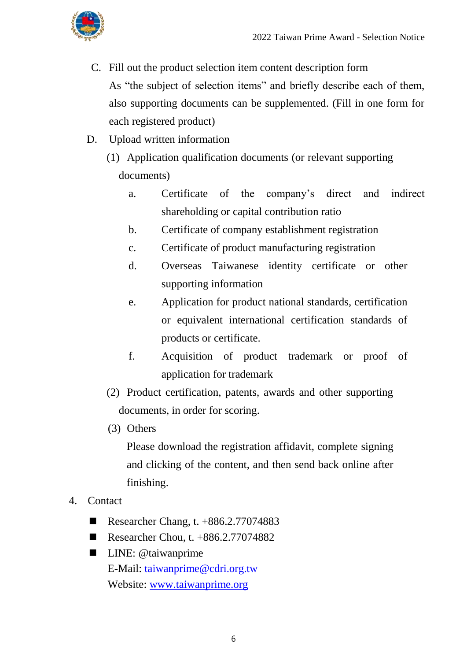

- C. Fill out the product selection item content description form As "the subject of selection items" and briefly describe each of them, also supporting documents can be supplemented. (Fill in one form for each registered product)
- D. Upload written information
	- (1) Application qualification documents (or relevant supporting documents)
		- a. Certificate of the company's direct and indirect shareholding or capital contribution ratio
		- b. Certificate of company establishment registration
		- c. Certificate of product manufacturing registration
		- d. Overseas Taiwanese identity certificate or other supporting information
		- e. Application for product national standards, certification or equivalent international certification standards of products or certificate.
		- f. Acquisition of product trademark or proof of application for trademark
	- (2) Product certification, patents, awards and other supporting documents, in order for scoring.
	- (3) Others

Please download the registration affidavit, complete signing and clicking of the content, and then send back online after finishing.

- 4. Contact
	- Researcher Chang, t.  $+886.2.77074883$
	- Researcher Chou, t.  $+886.2.77074882$
	- **LINE:** @taiwanprime E-Mail: [taiwanprime@cdri.org.tw](mailto:taiwanprime@cdri.org.tw) Website: [www.taiwanprime.org](http://www.taiwanprime.org/)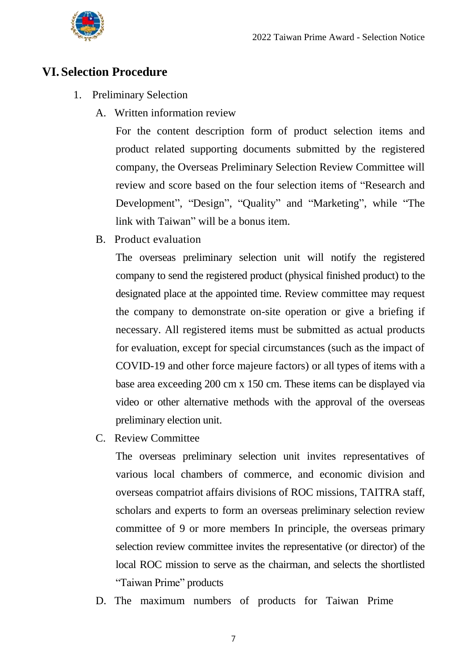

#### <span id="page-8-0"></span>**VI. Selection Procedure**

- 1. Preliminary Selection
	- A. Written information review

For the content description form of product selection items and product related supporting documents submitted by the registered company, the Overseas Preliminary Selection Review Committee will review and score based on the four selection items of "Research and Development", "Design", "Quality" and "Marketing", while "The link with Taiwan" will be a bonus item.

B. Product evaluation

The overseas preliminary selection unit will notify the registered company to send the registered product (physical finished product) to the designated place at the appointed time. Review committee may request the company to demonstrate on-site operation or give a briefing if necessary. All registered items must be submitted as actual products for evaluation, except for special circumstances (such as the impact of COVID-19 and other force majeure factors) or all types of items with a base area exceeding 200 cm x 150 cm. These items can be displayed via video or other alternative methods with the approval of the overseas preliminary election unit.

C. Review Committee

The overseas preliminary selection unit invites representatives of various local chambers of commerce, and economic division and overseas compatriot affairs divisions of ROC missions, TAITRA staff, scholars and experts to form an overseas preliminary selection review committee of 9 or more members In principle, the overseas primary selection review committee invites the representative (or director) of the local ROC mission to serve as the chairman, and selects the shortlisted "Taiwan Prime" products

D. The maximum numbers of products for Taiwan Prime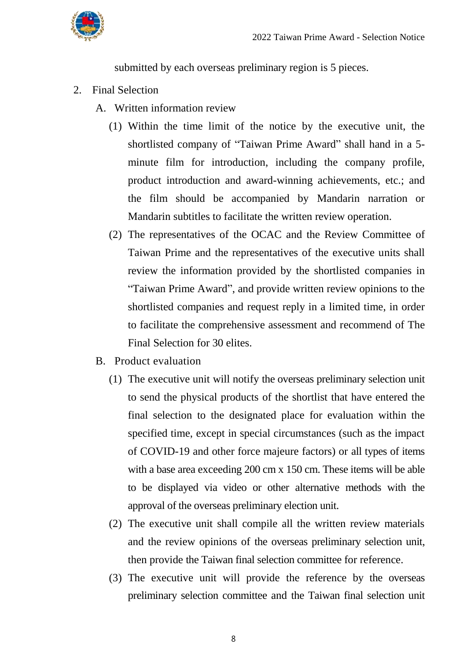

submitted by each overseas preliminary region is 5 pieces.

- 2. Final Selection
	- A. Written information review
		- (1) Within the time limit of the notice by the executive unit, the shortlisted company of "Taiwan Prime Award" shall hand in a 5 minute film for introduction, including the company profile, product introduction and award-winning achievements, etc.; and the film should be accompanied by Mandarin narration or Mandarin subtitles to facilitate the written review operation.
		- (2) The representatives of the OCAC and the Review Committee of Taiwan Prime and the representatives of the executive units shall review the information provided by the shortlisted companies in "Taiwan Prime Award", and provide written review opinions to the shortlisted companies and request reply in a limited time, in order to facilitate the comprehensive assessment and recommend of The Final Selection for 30 elites.
	- B. Product evaluation
		- (1) The executive unit will notify the overseas preliminary selection unit to send the physical products of the shortlist that have entered the final selection to the designated place for evaluation within the specified time, except in special circumstances (such as the impact of COVID-19 and other force majeure factors) or all types of items with a base area exceeding 200 cm x 150 cm. These items will be able to be displayed via video or other alternative methods with the approval of the overseas preliminary election unit.
		- (2) The executive unit shall compile all the written review materials and the review opinions of the overseas preliminary selection unit, then provide the Taiwan final selection committee for reference.
		- (3) The executive unit will provide the reference by the overseas preliminary selection committee and the Taiwan final selection unit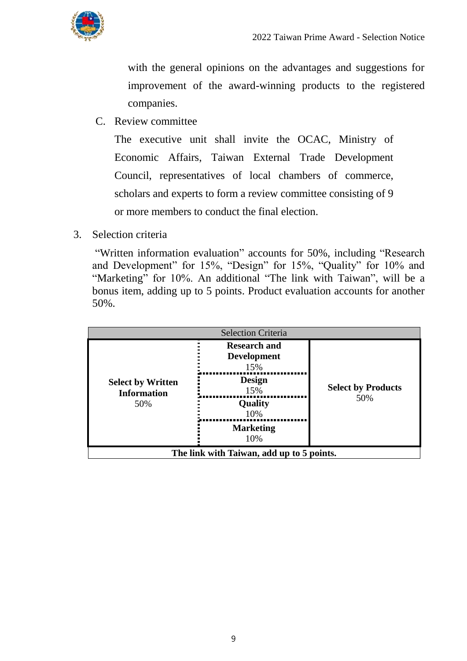

with the general opinions on the advantages and suggestions for improvement of the award-winning products to the registered companies.

C. Review committee

The executive unit shall invite the OCAC, Ministry of Economic Affairs, Taiwan External Trade Development Council, representatives of local chambers of commerce, scholars and experts to form a review committee consisting of 9 or more members to conduct the final election.

3. Selection criteria

"Written information evaluation" accounts for 50%, including "Research and Development" for 15%, "Design" for 15%, "Quality" for 10% and "Marketing" for 10%. An additional "The link with Taiwan", will be a bonus item, adding up to 5 points. Product evaluation accounts for another 50%.

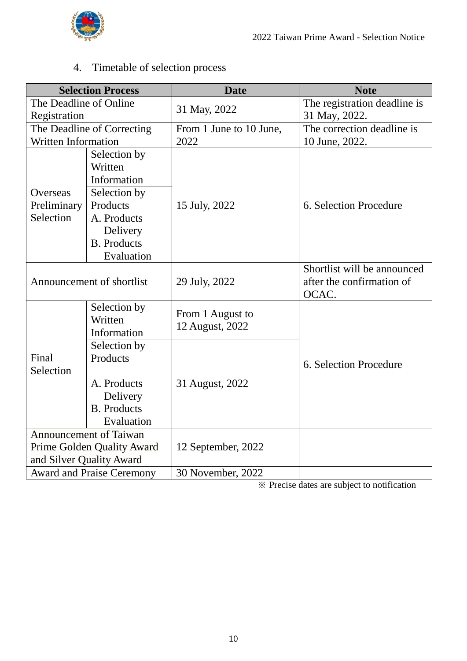

4. Timetable of selection process

|                                  | <b>Selection Process</b>               | <b>Date</b>                         | <b>Note</b>                                                       |
|----------------------------------|----------------------------------------|-------------------------------------|-------------------------------------------------------------------|
| The Deadline of Online           |                                        | 31 May, 2022                        | The registration deadline is                                      |
| Registration                     |                                        |                                     | 31 May, 2022.                                                     |
|                                  | The Deadline of Correcting             | From 1 June to 10 June,             | The correction deadline is                                        |
| <b>Written Information</b>       |                                        | 2022                                | 10 June, 2022.                                                    |
|                                  | Selection by<br>Written<br>Information |                                     |                                                                   |
| Overseas                         | Selection by                           |                                     |                                                                   |
| Preliminary                      | Products                               | 15 July, 2022                       | 6. Selection Procedure                                            |
| Selection                        | A. Products                            |                                     |                                                                   |
|                                  | Delivery                               |                                     |                                                                   |
|                                  | <b>B.</b> Products                     |                                     |                                                                   |
|                                  | Evaluation                             |                                     |                                                                   |
|                                  | Announcement of shortlist              | 29 July, 2022                       | Shortlist will be announced<br>after the confirmation of<br>OCAC. |
|                                  | Selection by<br>Written<br>Information | From 1 August to<br>12 August, 2022 |                                                                   |
|                                  | Selection by                           |                                     |                                                                   |
| Final<br>Selection               | Products                               |                                     | 6. Selection Procedure                                            |
|                                  | A. Products                            | 31 August, 2022                     |                                                                   |
|                                  | Delivery                               |                                     |                                                                   |
|                                  | <b>B.</b> Products                     |                                     |                                                                   |
|                                  | Evaluation                             |                                     |                                                                   |
| Announcement of Taiwan           |                                        |                                     |                                                                   |
| Prime Golden Quality Award       |                                        | 12 September, 2022                  |                                                                   |
| and Silver Quality Award         |                                        |                                     |                                                                   |
| <b>Award and Praise Ceremony</b> |                                        | 30 November, 2022                   |                                                                   |

※ Precise dates are subject to notification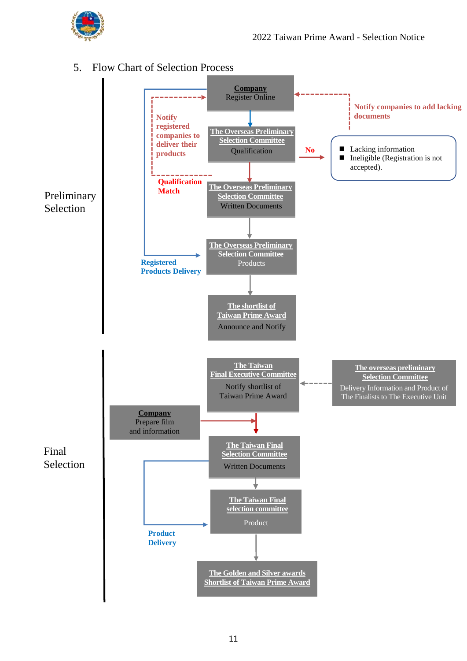

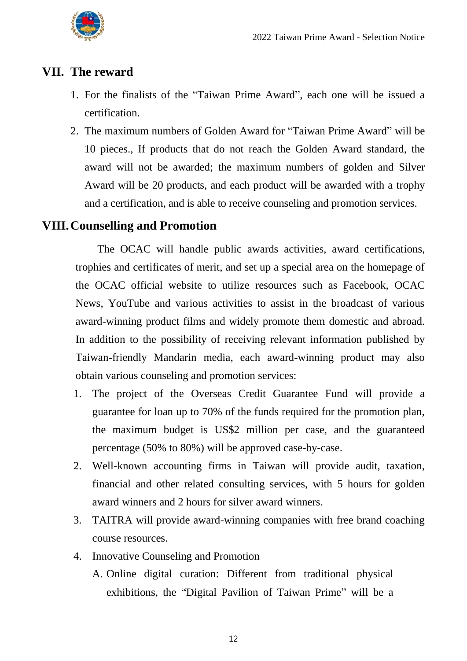

#### <span id="page-13-0"></span>**VII. The reward**

- 1. For the finalists of the "Taiwan Prime Award", each one will be issued a certification.
- 2. The maximum numbers of Golden Award for "Taiwan Prime Award" will be 10 pieces., If products that do not reach the Golden Award standard, the award will not be awarded; the maximum numbers of golden and Silver Award will be 20 products, and each product will be awarded with a trophy and a certification, and is able to receive counseling and promotion services.

#### <span id="page-13-1"></span>**VIII.Counselling and Promotion**

The OCAC will handle public awards activities, award certifications, trophies and certificates of merit, and set up a special area on the homepage of the OCAC official website to utilize resources such as Facebook, OCAC News, YouTube and various activities to assist in the broadcast of various award-winning product films and widely promote them domestic and abroad. In addition to the possibility of receiving relevant information published by Taiwan-friendly Mandarin media, each award-winning product may also obtain various counseling and promotion services:

- 1. The project of the Overseas Credit Guarantee Fund will provide a guarantee for loan up to 70% of the funds required for the promotion plan, the maximum budget is US\$2 million per case, and the guaranteed percentage (50% to 80%) will be approved case-by-case.
- 2. Well-known accounting firms in Taiwan will provide audit, taxation, financial and other related consulting services, with 5 hours for golden award winners and 2 hours for silver award winners.
- 3. TAITRA will provide award-winning companies with free brand coaching course resources.
- 4. Innovative Counseling and Promotion A. Online digital curation: Different from traditional physical exhibitions, the "Digital Pavilion of Taiwan Prime" will be a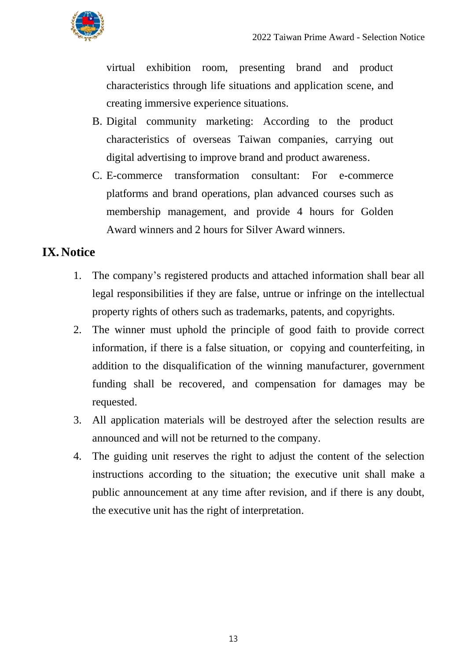

virtual exhibition room, presenting brand and product characteristics through life situations and application scene, and creating immersive experience situations.

- B. Digital community marketing: According to the product characteristics of overseas Taiwan companies, carrying out digital advertising to improve brand and product awareness.
- C. E-commerce transformation consultant: For e-commerce platforms and brand operations, plan advanced courses such as membership management, and provide 4 hours for Golden Award winners and 2 hours for Silver Award winners.

#### <span id="page-14-0"></span>**IX. Notice**

- 1. The company's registered products and attached information shall bear all legal responsibilities if they are false, untrue or infringe on the intellectual property rights of others such as trademarks, patents, and copyrights.
- 2. The winner must uphold the principle of good faith to provide correct information, if there is a false situation, or copying and counterfeiting, in addition to the disqualification of the winning manufacturer, government funding shall be recovered, and compensation for damages may be requested.
- 3. All application materials will be destroyed after the selection results are announced and will not be returned to the company.
- 4. The guiding unit reserves the right to adjust the content of the selection instructions according to the situation; the executive unit shall make a public announcement at any time after revision, and if there is any doubt, the executive unit has the right of interpretation.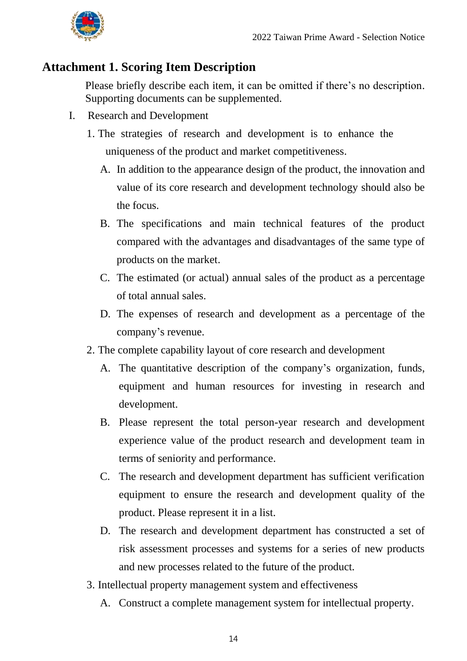

#### <span id="page-15-0"></span>**Attachment 1. Scoring Item Description**

Please briefly describe each item, it can be omitted if there's no description. Supporting documents can be supplemented.

- I. Research and Development
	- 1. The strategies of research and development is to enhance the uniqueness of the product and market competitiveness.
		- A. In addition to the appearance design of the product, the innovation and value of its core research and development technology should also be the focus.
		- B. The specifications and main technical features of the product compared with the advantages and disadvantages of the same type of products on the market.
		- C. The estimated (or actual) annual sales of the product as a percentage of total annual sales.
		- D. The expenses of research and development as a percentage of the company's revenue.
	- 2. The complete capability layout of core research and development
		- A. The quantitative description of the company's organization, funds, equipment and human resources for investing in research and development.
		- B. Please represent the total person-year research and development experience value of the product research and development team in terms of seniority and performance.
		- C. The research and development department has sufficient verification equipment to ensure the research and development quality of the product. Please represent it in a list.
		- D. The research and development department has constructed a set of risk assessment processes and systems for a series of new products and new processes related to the future of the product.
	- 3. Intellectual property management system and effectiveness
		- A. Construct a complete management system for intellectual property.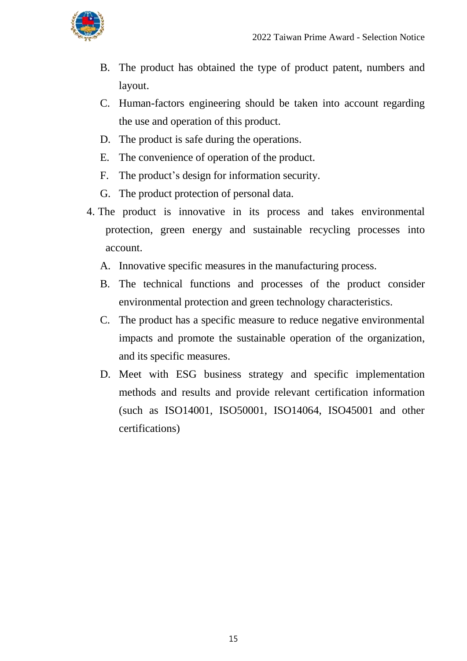

- B. The product has obtained the type of product patent, numbers and layout.
- C. Human-factors engineering should be taken into account regarding the use and operation of this product.
- D. The product is safe during the operations.
- E. The convenience of operation of the product.
- F. The product's design for information security.
- G. The product protection of personal data.
- 4. The product is innovative in its process and takes environmental protection, green energy and sustainable recycling processes into account.
	- A. Innovative specific measures in the manufacturing process.
	- B. The technical functions and processes of the product consider environmental protection and green technology characteristics.
	- C. The product has a specific measure to reduce negative environmental impacts and promote the sustainable operation of the organization, and its specific measures.
	- D. Meet with ESG business strategy and specific implementation methods and results and provide relevant certification information (such as ISO14001, ISO50001, ISO14064, ISO45001 and other certifications)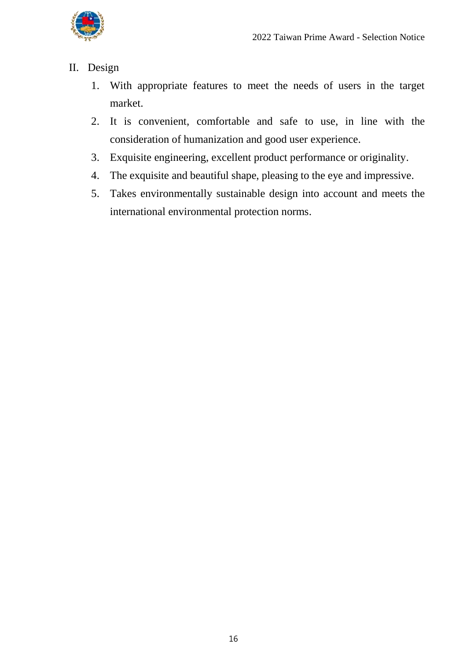

#### II. Design

- 1. With appropriate features to meet the needs of users in the target market.
- 2. It is convenient, comfortable and safe to use, in line with the consideration of humanization and good user experience.
- 3. Exquisite engineering, excellent product performance or originality.
- 4. The exquisite and beautiful shape, pleasing to the eye and impressive.
- 5. Takes environmentally sustainable design into account and meets the international environmental protection norms.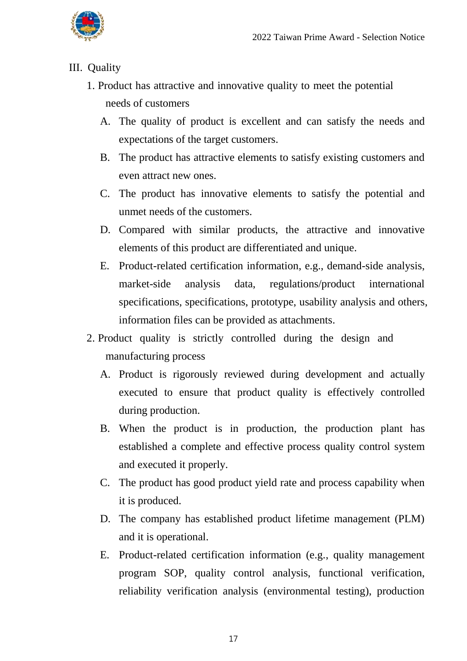

#### III. Quality

- 1. Product has attractive and innovative quality to meet the potential needs of customers
	- A. The quality of product is excellent and can satisfy the needs and expectations of the target customers.
	- B. The product has attractive elements to satisfy existing customers and even attract new ones.
	- C. The product has innovative elements to satisfy the potential and unmet needs of the customers.
	- D. Compared with similar products, the attractive and innovative elements of this product are differentiated and unique.
	- E. Product-related certification information, e.g., demand-side analysis, market-side analysis data, regulations/product international specifications, specifications, prototype, usability analysis and others, information files can be provided as attachments.
- 2. Product quality is strictly controlled during the design and manufacturing process
	- A. Product is rigorously reviewed during development and actually executed to ensure that product quality is effectively controlled during production.
	- B. When the product is in production, the production plant has established a complete and effective process quality control system and executed it properly.
	- C. The product has good product yield rate and process capability when it is produced.
	- D. The company has established product lifetime management (PLM) and it is operational.
	- E. Product-related certification information (e.g., quality management program SOP, quality control analysis, functional verification, reliability verification analysis (environmental testing), production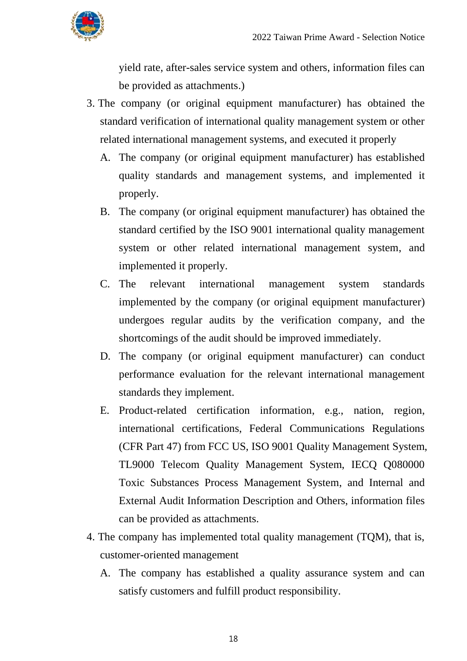

yield rate, after-sales service system and others, information files can be provided as attachments.)

- 3. The company (or original equipment manufacturer) has obtained the standard verification of international quality management system or other related international management systems, and executed it properly
	- A. The company (or original equipment manufacturer) has established quality standards and management systems, and implemented it properly.
	- B. The company (or original equipment manufacturer) has obtained the standard certified by the ISO 9001 international quality management system or other related international management system, and implemented it properly.
	- C. The relevant international management system standards implemented by the company (or original equipment manufacturer) undergoes regular audits by the verification company, and the shortcomings of the audit should be improved immediately.
	- D. The company (or original equipment manufacturer) can conduct performance evaluation for the relevant international management standards they implement.
	- E. Product-related certification information, e.g., nation, region, international certifications, Federal Communications Regulations (CFR Part 47) from FCC US, ISO 9001 Quality Management System, TL9000 Telecom Quality Management System, IECQ Q080000 Toxic Substances Process Management System, and Internal and External Audit Information Description and Others, information files can be provided as attachments.
- 4. The company has implemented total quality management (TQM), that is, customer-oriented management
	- A. The company has established a quality assurance system and can satisfy customers and fulfill product responsibility.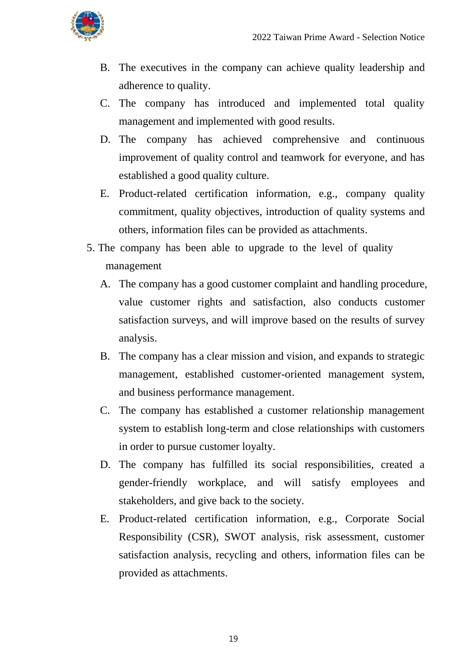

- B. The executives in the company can achieve quality leadership and adherence to quality.
- C. The company has introduced and implemented total quality management and implemented with good results.
- D. The company has achieved comprehensive and continuous improvement of quality control and teamwork for everyone, and has established a good quality culture.
- E. Product-related certification information, e.g., company quality commitment, quality objectives, introduction of quality systems and others, information files can be provided as attachments.
- 5. The company has been able to upgrade to the level of quality management
	- A. The company has a good customer complaint and handling procedure, value customer rights and satisfaction, also conducts customer satisfaction surveys, and will improve based on the results of survey analysis.
	- B. The company has a clear mission and vision, and expands to strategic management, established customer-oriented management system, and business performance management.
	- C. The company has established a customer relationship management system to establish long-term and close relationships with customers in order to pursue customer loyalty.
	- D. The company has fulfilled its social responsibilities, created a gender-friendly workplace, and will satisfy employees and stakeholders, and give back to the society.
	- E. Product-related certification information, e.g., Corporate Social Responsibility (CSR), SWOT analysis, risk assessment, customer satisfaction analysis, recycling and others, information files can be provided as attachments.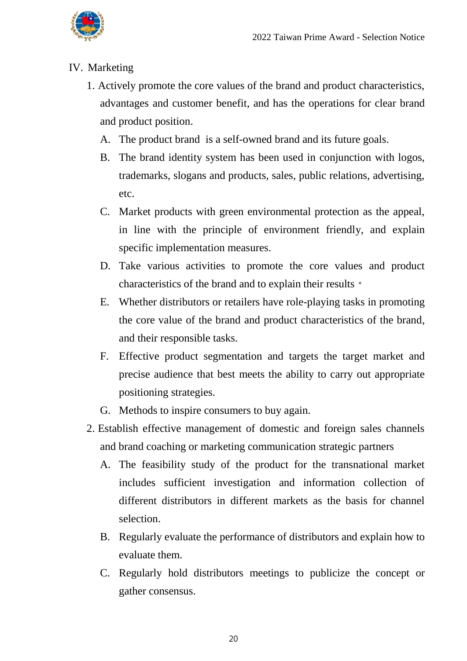

#### IV. Marketing

- 1. Actively promote the core values of the brand and product characteristics, advantages and customer benefit, and has the operations for clear brand and product position.
	- A. The product brand is a self-owned brand and its future goals.
	- B. The brand identity system has been used in conjunction with logos, trademarks, slogans and products, sales, public relations, advertising, etc.
	- C. Market products with green environmental protection as the appeal, in line with the principle of environment friendly, and explain specific implementation measures.
	- D. Take various activities to promote the core values and product characteristics of the brand and to explain their results。
	- E. Whether distributors or retailers have role-playing tasks in promoting the core value of the brand and product characteristics of the brand, and their responsible tasks.
	- F. Effective product segmentation and targets the target market and precise audience that best meets the ability to carry out appropriate positioning strategies.
	- G. Methods to inspire consumers to buy again.
- 2. Establish effective management of domestic and foreign sales channels and brand coaching or marketing communication strategic partners
	- A. The feasibility study of the product for the transnational market includes sufficient investigation and information collection of different distributors in different markets as the basis for channel selection.
	- B. Regularly evaluate the performance of distributors and explain how to evaluate them.
	- C. Regularly hold distributors meetings to publicize the concept or gather consensus.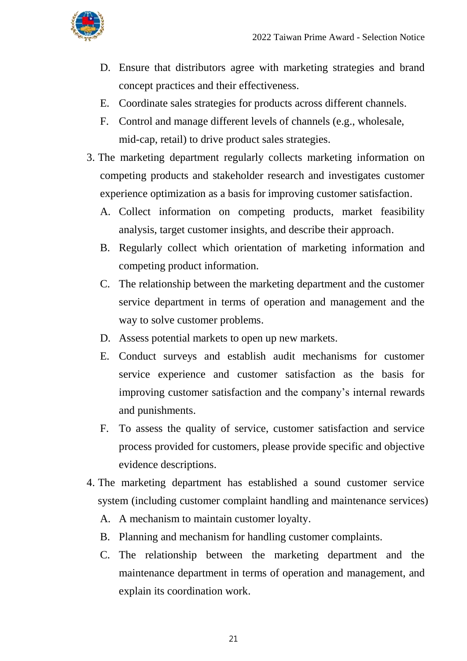

- D. Ensure that distributors agree with marketing strategies and brand concept practices and their effectiveness.
- E. Coordinate sales strategies for products across different channels.
- F. Control and manage different levels of channels (e.g., wholesale, mid-cap, retail) to drive product sales strategies.
- 3. The marketing department regularly collects marketing information on competing products and stakeholder research and investigates customer experience optimization as a basis for improving customer satisfaction.
	- A. Collect information on competing products, market feasibility analysis, target customer insights, and describe their approach.
	- B. Regularly collect which orientation of marketing information and competing product information.
	- C. The relationship between the marketing department and the customer service department in terms of operation and management and the way to solve customer problems.
	- D. Assess potential markets to open up new markets.
	- E. Conduct surveys and establish audit mechanisms for customer service experience and customer satisfaction as the basis for improving customer satisfaction and the company's internal rewards and punishments.
	- F. To assess the quality of service, customer satisfaction and service process provided for customers, please provide specific and objective evidence descriptions.
- 4. The marketing department has established a sound customer service system (including customer complaint handling and maintenance services)
	- A. A mechanism to maintain customer loyalty.
	- B. Planning and mechanism for handling customer complaints.
	- C. The relationship between the marketing department and the maintenance department in terms of operation and management, and explain its coordination work.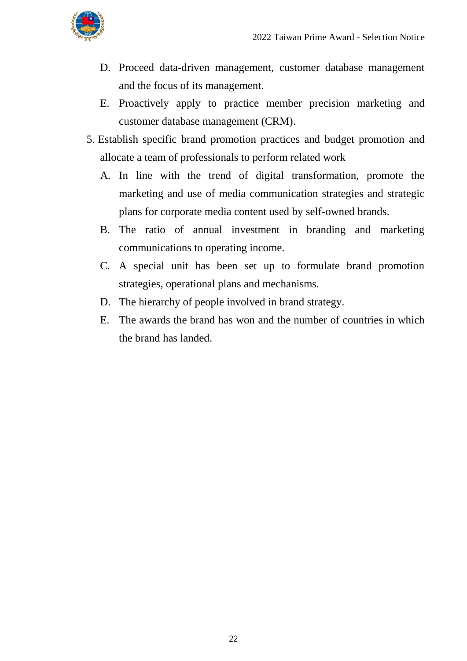

- D. Proceed data-driven management, customer database management and the focus of its management.
- E. Proactively apply to practice member precision marketing and customer database management (CRM).
- 5. Establish specific brand promotion practices and budget promotion and allocate a team of professionals to perform related work
	- A. In line with the trend of digital transformation, promote the marketing and use of media communication strategies and strategic plans for corporate media content used by self-owned brands.
	- B. The ratio of annual investment in branding and marketing communications to operating income.
	- C. A special unit has been set up to formulate brand promotion strategies, operational plans and mechanisms.
	- D. The hierarchy of people involved in brand strategy.
	- E. The awards the brand has won and the number of countries in which the brand has landed.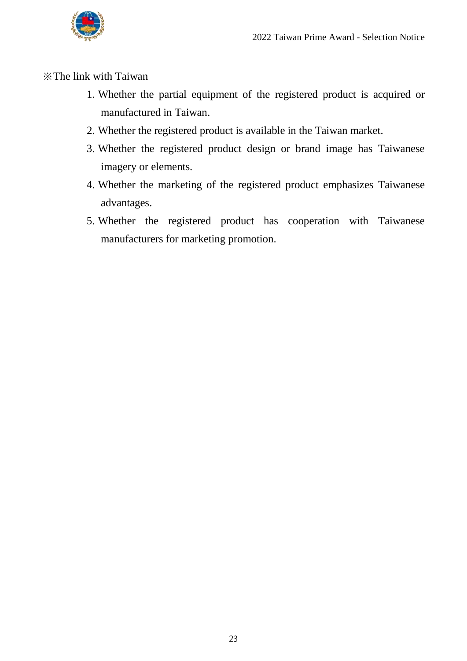

※The link with Taiwan

- 1. Whether the partial equipment of the registered product is acquired or manufactured in Taiwan.
- 2. Whether the registered product is available in the Taiwan market.
- 3. Whether the registered product design or brand image has Taiwanese imagery or elements.
- 4. Whether the marketing of the registered product emphasizes Taiwanese advantages.
- 5. Whether the registered product has cooperation with Taiwanese manufacturers for marketing promotion.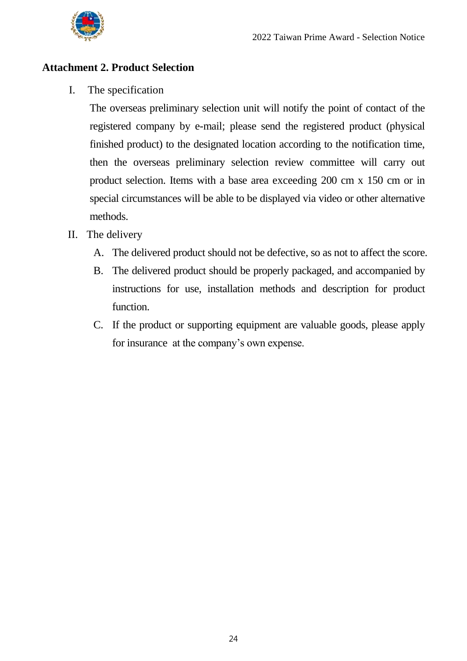

#### <span id="page-25-0"></span>**Attachment 2. Product Selection**

I. The specification

The overseas preliminary selection unit will notify the point of contact of the registered company by e-mail; please send the registered product (physical finished product) to the designated location according to the notification time, then the overseas preliminary selection review committee will carry out product selection. Items with a base area exceeding 200 cm x 150 cm or in special circumstances will be able to be displayed via video or other alternative methods.

- II. The delivery
	- A. The delivered product should not be defective, so as not to affect the score.
	- B. The delivered product should be properly packaged, and accompanied by instructions for use, installation methods and description for product function.
	- C. If the product or supporting equipment are valuable goods, please apply for insurance at the company's own expense.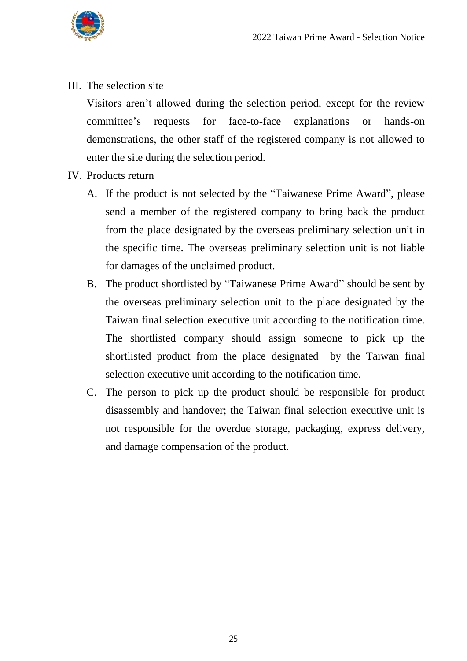

III. The selection site

Visitors aren't allowed during the selection period, except for the review committee's requests for face-to-face explanations or hands-on demonstrations, the other staff of the registered company is not allowed to enter the site during the selection period.

- IV. Products return
	- A. If the product is not selected by the "Taiwanese Prime Award", please send a member of the registered company to bring back the product from the place designated by the overseas preliminary selection unit in the specific time. The overseas preliminary selection unit is not liable for damages of the unclaimed product.
	- B. The product shortlisted by "Taiwanese Prime Award" should be sent by the overseas preliminary selection unit to the place designated by the Taiwan final selection executive unit according to the notification time. The shortlisted company should assign someone to pick up the shortlisted product from the place designated by the Taiwan final selection executive unit according to the notification time.
	- C. The person to pick up the product should be responsible for product disassembly and handover; the Taiwan final selection executive unit is not responsible for the overdue storage, packaging, express delivery, and damage compensation of the product.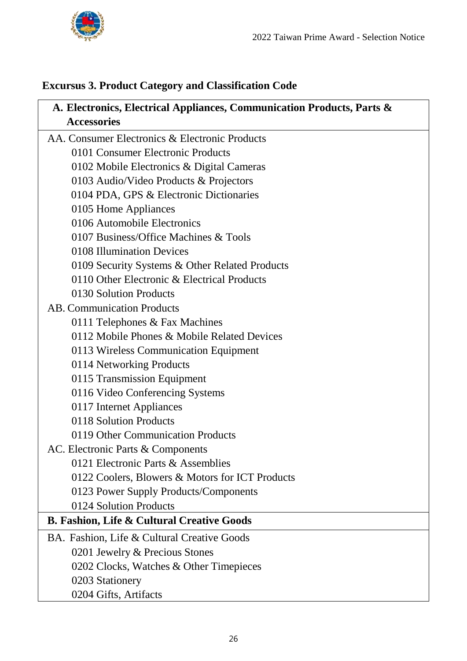

#### <span id="page-27-0"></span>**Excursus 3. Product Category and Classification Code**

| A. Electronics, Electrical Appliances, Communication Products, Parts & |
|------------------------------------------------------------------------|
| <b>Accessories</b>                                                     |
| AA. Consumer Electronics & Electronic Products                         |
| 0101 Consumer Electronic Products                                      |
| 0102 Mobile Electronics & Digital Cameras                              |
| 0103 Audio/Video Products & Projectors                                 |
| 0104 PDA, GPS & Electronic Dictionaries                                |
| 0105 Home Appliances                                                   |
| 0106 Automobile Electronics                                            |
| 0107 Business/Office Machines & Tools                                  |
| 0108 Illumination Devices                                              |
| 0109 Security Systems & Other Related Products                         |
| 0110 Other Electronic & Electrical Products                            |
| 0130 Solution Products                                                 |
| <b>AB. Communication Products</b>                                      |
| 0111 Telephones & Fax Machines                                         |
| 0112 Mobile Phones & Mobile Related Devices                            |
| 0113 Wireless Communication Equipment                                  |
| 0114 Networking Products                                               |
| 0115 Transmission Equipment                                            |
| 0116 Video Conferencing Systems                                        |
| 0117 Internet Appliances                                               |
| 0118 Solution Products                                                 |
| 0119 Other Communication Products                                      |
| AC. Electronic Parts & Components                                      |
| 0121 Electronic Parts & Assemblies                                     |
| 0122 Coolers, Blowers & Motors for ICT Products                        |
| 0123 Power Supply Products/Components                                  |
| 0124 Solution Products                                                 |
| <b>B. Fashion, Life &amp; Cultural Creative Goods</b>                  |
| BA. Fashion, Life & Cultural Creative Goods                            |
| 0201 Jewelry & Precious Stones                                         |
| 0202 Clocks, Watches & Other Timepieces                                |
| 0203 Stationery                                                        |
| 0204 Gifts, Artifacts                                                  |